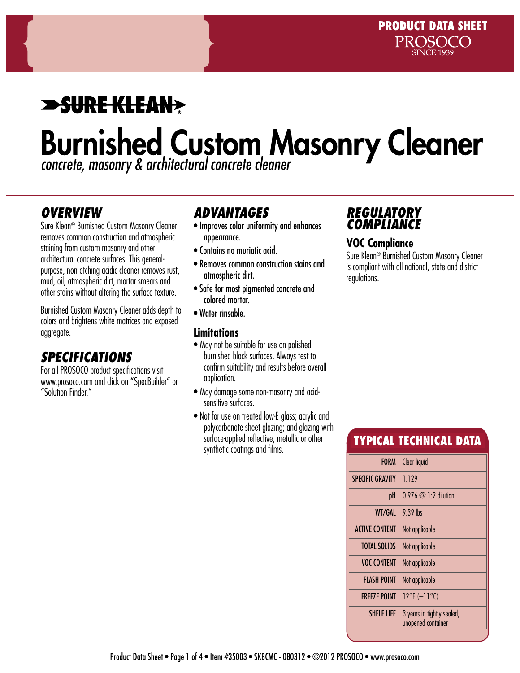## **SURE KLEAN>**

# Burnished Custom Masonry Cleaner

*concrete, masonry & architectural concrete cleaner*

#### *OVERVIEW*

Sure Klean® Burnished Custom Masonry Cleaner removes common construction and atmospheric staining from custom masonry and other architectural concrete surfaces. This generalpurpose, non etching acidic cleaner removes rust, mud, oil, atmospheric dirt, mortar smears and other stains without altering the surface texture.

Burnished Custom Masonry Cleaner adds depth to colors and brightens white matrices and exposed aggregate.

#### *Specifications*

For all PROSOCO product specifications visit www.prosoco.com and click on "SpecBuilder" or "Solution Finder."

#### *Advantages*

- Improves color uniformity and enhances appearance.
- Contains no muriatic acid.
- Removes common construction stains and atmospheric dirt.
- Safe for most pigmented concrete and colored mortar.
- Water rinsable.

#### **Limitations**

- May not be suitable for use on polished burnished block surfaces. Always test to confirm suitability and results before overall application.
- May damage some non-masonry and acidsensitive surfaces.
- Not for use on treated low-E glass; acrylic and polycarbonate sheet glazing; and glazing with surface-applied reflective, metallic or other synthetic coatings and films.

#### *REGULATORY COMPLIANCE*

#### **VOC Compliance**

Sure Klean® Burnished Custom Masonry Cleaner is compliant with all national, state and district regulations.

#### Typical technical data

| <b>FORM</b>             | Clear liquid                                     |
|-------------------------|--------------------------------------------------|
| <b>SPECIFIC GRAVITY</b> | 1.129                                            |
| pH                      | $0.976 \t@ 1:2$ dilution                         |
| WT/GAL                  | $9.39$ lhs                                       |
| <b>ACTIVE CONTENT</b>   | Not applicable                                   |
| <b>TOTAL SOLIDS</b>     | Not applicable                                   |
| <b>VOC CONTENT</b>      | Not applicable                                   |
| FLASH POINT             | Not applicable                                   |
| <b>FREEZE POINT</b>     | $12^{\circ}$ F (-11 $^{\circ}$ C)                |
| <b>SHELF LIFE</b>       | 3 years in tightly sealed,<br>unopened container |
|                         |                                                  |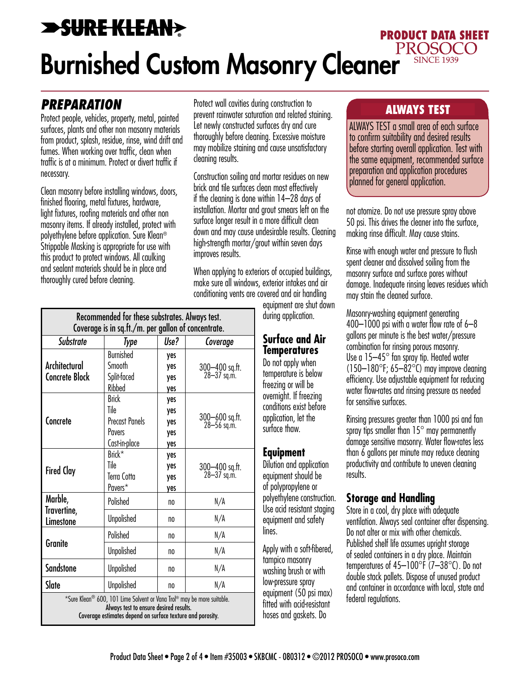#### **>SURE KLEAN> PRODUCT DATA SHEET<br>PROSOCO** Burnished Custom Masonry Cleaner **SINCE 1939**

#### *PREPARATION*

Protect people, vehicles, property, metal, painted surfaces, plants and other non masonry materials from product, splash, residue, rinse, wind drift and fumes. When working over traffic, clean when traffic is at a minimum. Protect or divert traffic if necessary.

Clean masonry before installing windows, doors, finished flooring, metal fixtures, hardware, light fixtures, roofing materials and other non masonry items. If already installed, protect with polyethylene before application. Sure Klean® Strippable Masking is appropriate for use with this product to protect windows. All caulking and sealant materials should be in place and thoroughly cured before cleaning.

Protect wall cavities during construction to entitled and the **ALWAYS TEST**<br>prevent rainwater saturation and related staining. Let newly constructed surfaces dry and cure thoroughly before cleaning. Excessive moisture may mobilize staining and cause unsatisfactory cleaning results.

Construction soiling and mortar residues on new brick and tile surfaces clean most effectively if the cleaning is done within 14–28 days of installation. Mortar and grout smears left on the surface longer result in a more difficult clean down and may cause undesirable results. Cleaning high-strength mortar/grout within seven days improves results.

When applying to exteriors of occupied buildings, make sure all windows, exterior intakes and air conditioning vents are covered and air handling

equipment are shut down during application.

Recommended for these substrates. Always test. Coverage is in sq.ft./m. per gallon of concentrate. *Substrate Type Use? Coverage* **Architectural** Concrete Block Burnished **Smooth** Split-faced Ribbed yes yes yes yes 300–400 sq.ft. 28–37 sq.m. **Concrete** Brick Tile Precast Panels **Pavers** Cast-in-place yes yes yes yes yes 300–600 sq.ft. 28–56 sq.m. Fired Clay Brick\* Tile Terra Cotta Pavers\* yes yes yes yes 300–400 sq.ft. 28–37 sq.m. Marble, Travertine, Limestone Polished | no | N/A Unpolished | no | N/A **Granite** Polished I no I N/A Unpolished | no | N/A Sandstone | Unpolished | no | N/A Slate | Unpolished | no | N/A \*Sure Klean® 600, 101 Lime Solvent or Vana Trol® may be more suitable. Always test to ensure desired results. Coverage estimates depend on surface texture and porosity.

#### **Surface and Air Temperatures**

Do not apply when temperature is below freezing or will be overnight. If freezing conditions exist before application, let the surface thaw.

#### **Equipment**

Dilution and application equipment should be of polypropylene or polyethylene construction. Use acid resistant staging equipment and safety lines.

Apply with a soft-fibered, tampico masonry washing brush or with low-pressure spray equipment (50 psi max) fitted with acid-resistant hoses and gaskets. Do

ALWAYS TEST a small area of each surface to confirm suitability and desired results before starting overall application. Test with the same equipment, recommended surface preparation and application procedures planned for general application.

not atomize. Do not use pressure spray above 50 psi. This drives the cleaner into the surface, making rinse difficult. May cause stains.

Rinse with enough water and pressure to flush spent cleaner and dissolved soiling from the masonry surface and surface pores without damage. Inadequate rinsing leaves residues which may stain the cleaned surface.

Masonry-washing equipment generating 400–1000 psi with a water flow rate of 6–8 gallons per minute is the best water/pressure combination for rinsing porous masonry. Use a 15–45° fan spray tip. Heated water (150–180°F; 65–82°C) may improve cleaning efficiency. Use adjustable equipment for reducing water flow-rates and rinsing pressure as needed for sensitive surfaces.

Rinsing pressures greater than 1000 psi and fan spray tips smaller than 15° may permanently damage sensitive masonry. Water flow-rates less than 6 gallons per minute may reduce cleaning productivity and contribute to uneven cleaning results.

#### **Storage and Handling**

Store in a cool, dry place with adequate ventilation. Always seal container after dispensing. Do not alter or mix with other chemicals. Published shelf life assumes upright storage of sealed containers in a dry place. Maintain temperatures of 45–100°F (7–38°C). Do not double stack pallets. Dispose of unused product and container in accordance with local, state and federal regulations.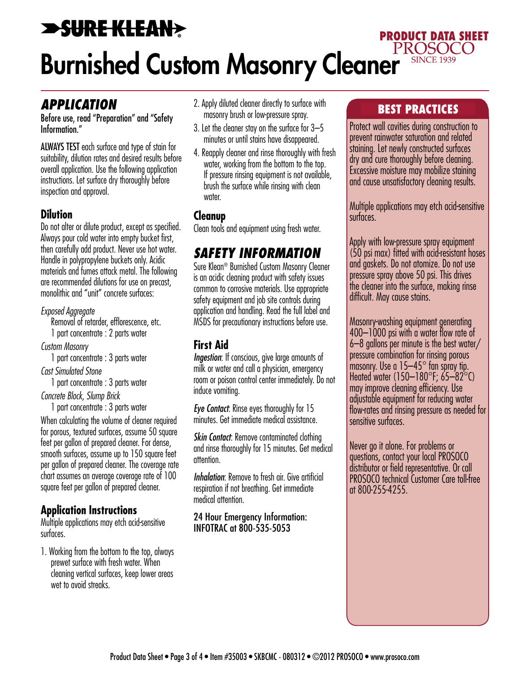#### **>SURE KLEAN> PRODUCT DATA SHEET<br>PROSOCO** Burnished Custom Masonry Cleaner **SINCE 1939**

#### *APPLICATION*

Before use, read "Preparation" and "Safety Information."

ALWAYS TEST each surface and type of stain for suitability, dilution rates and desired results before overall application. Use the following application instructions. Let surface dry thoroughly before inspection and approval.

#### **Dilution**

Do not alter or dilute product, except as specified. Always pour cold water into empty bucket first, then carefully add product. Never use hot water. Handle in polypropylene buckets only. Acidic materials and fumes attack metal. The following are recommended dilutions for use on precast, monolithic and "unit" concrete surfaces:

*Exposed Aggregate* Removal of retarder, efflorescence, etc.

1 part concentrate : 2 parts water

*Custom Masonry* 1 part concentrate : 3 parts water

*Cast Simulated Stone*

1 part concentrate : 3 parts water

*Concrete Block, Slump Brick*

1 part concentrate : 3 parts water

When calculating the volume of cleaner required for porous, textured surfaces, assume 50 square feet per gallon of prepared cleaner. For dense, smooth surfaces, assume up to 150 square feet per gallon of prepared cleaner. The coverage rate chart assumes an average coverage rate of 100 square feet per gallon of prepared cleaner.

#### **Application Instructions**

Multiple applications may etch acid-sensitive surfaces.

1. Working from the bottom to the top, always prewet surface with fresh water. When cleaning vertical surfaces, keep lower areas wet to avoid streaks.

- 2. Apply diluted cleaner directly to surface with masonry brush or low-pressure spray.
- 3. Let the cleaner stay on the surface for 3–5 minutes or until stains have disappeared.
- 4. Reapply cleaner and rinse thoroughly with fresh water, working from the bottom to the top. If pressure rinsing equipment is not available, brush the surface while rinsing with clean water.

#### **Cleanup**

Clean tools and equipment using fresh water.

#### *SAFETY INFORMATION*

Sure Klean® Burnished Custom Masonry Cleaner is an acidic cleaning product with safety issues common to corrosive materials. Use appropriate safety equipment and job site controls during application and handling. Read the full label and MSDS for precautionary instructions before use.

#### **First Aid**

*Ingestion*: If conscious, give large amounts of milk or water and call a physician, emergency room or poison control center immediately. Do not induce vomiting.

*Eye Contact*: Rinse eyes thoroughly for 15 minutes. Get immediate medical assistance.

*Skin Contact:* Remove contaminated clothing and rinse thoroughly for 15 minutes. Get medical attention.

*Inhalation*: Remove to fresh air. Give artificial respiration if not breathing. Get immediate medical attention.

24 Hour Emergency Information: INFOTRAC at 800-535-5053

#### Best practices

Protect wall cavities during construction to prevent rainwater saturation and related staining. Let newly constructed surfaces dry and cure thoroughly before cleaning. Excessive moisture may mobilize staining and cause unsatisfactory cleaning results.

Multiple applications may etch acid-sensitive surfaces.

Apply with low-pressure spray equipment (50 psi max) fitted with acid-resistant hoses and gaskets. Do not atomize. Do not use pressure spray above 50 psi. This drives the cleaner into the surface, making rinse difficult. May cause stains.

Masonry-washing equipment generating 400–1000 psi with a water flow rate of 6–8 gallons per minute is the best water/ pressure combination for rinsing porous masonry. Use a 15–45° fan spray tip. Heated water (150–180 $\degree$ F; 65–82 $\degree$ C) may improve cleaning efficiency. Use adjustable equipment for reducing water flow-rates and rinsing pressure as needed for sensitive surfaces.

Never go it alone. For problems or questions, contact your local PROSOCO distributor or field representative. Or call PROSOCO technical Customer Care toll-free at 800-255-4255.